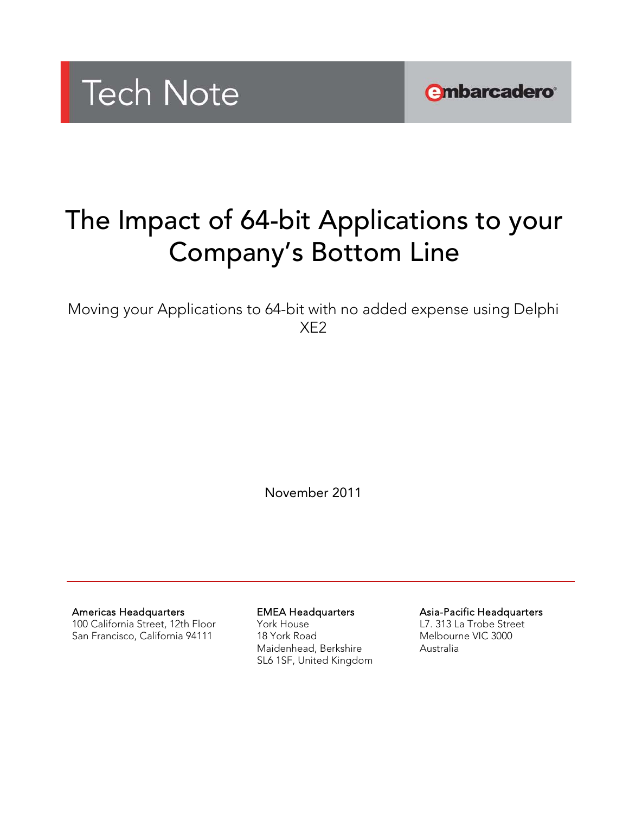

**embarcadero** 

# The Impact of 64-bit Applications to your Company's Bottom Line

Moving your Applications to 64-bit with no added expense using Delphi XE2

November 2011

Americas Headquarters

100 California Street, 12th Floor San Francisco, California 94111

EMEA Headquarters York House 18 York Road Maidenhead, Berkshire SL6 1SF, United Kingdom Asia-Pacific Headquarters L7. 313 La Trobe Street Melbourne VIC 3000 Australia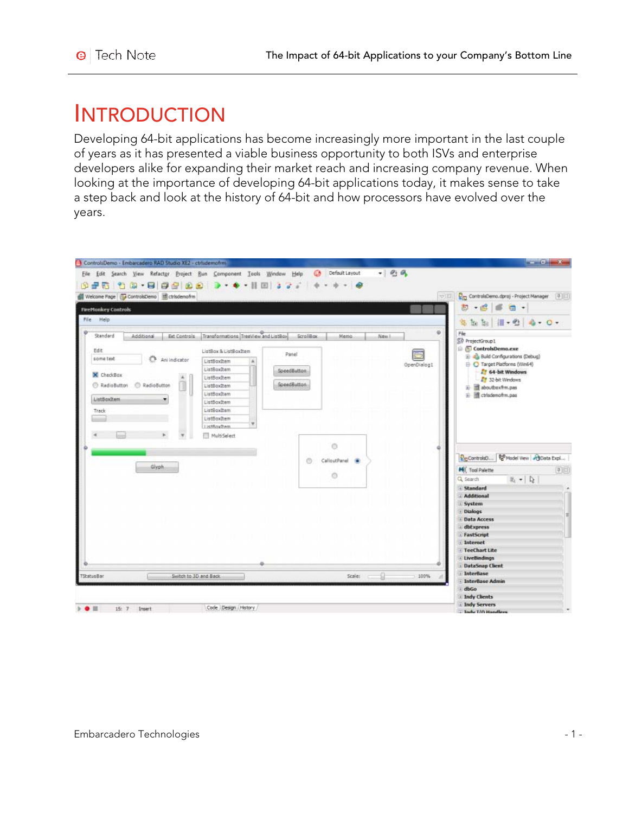### **INTRODUCTION**

Developing 64-bit applications has become increasingly more important in the last couple of years as it has presented a viable business opportunity to both ISVs and enterprise developers alike for expanding their market reach and increasing company revenue. When looking at the importance of developing 64-bit applications today, it makes sense to take a step back and look at the history of 64-bit and how processors have evolved over the years.

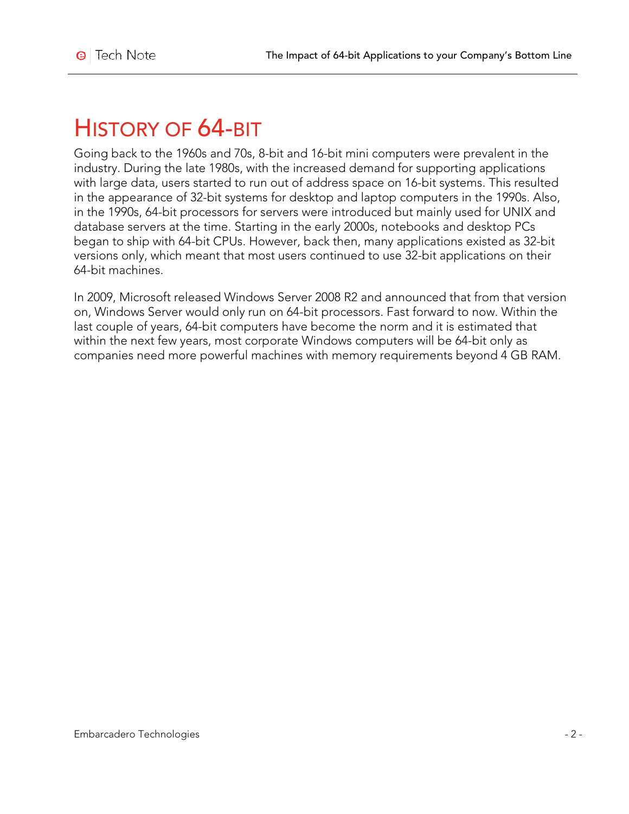## HISTORY OF 64-BIT

Going back to the 1960s and 70s, 8-bit and 16-bit mini computers were prevalent in the industry. During the late 1980s, with the increased demand for supporting applications with large data, users started to run out of address space on 16-bit systems. This resulted in the appearance of 32-bit systems for desktop and laptop computers in the 1990s. Also, in the 1990s, 64-bit processors for servers were introduced but mainly used for UNIX and database servers at the time. Starting in the early 2000s, notebooks and desktop PCs began to ship with 64-bit CPUs. However, back then, many applications existed as 32-bit versions only, which meant that most users continued to use 32-bit applications on their 64-bit machines.

In 2009, Microsoft released Windows Server 2008 R2 and announced that from that version on, Windows Server would only run on 64-bit processors. Fast forward to now. Within the last couple of years, 64-bit computers have become the norm and it is estimated that within the next few years, most corporate Windows computers will be 64-bit only as companies need more powerful machines with memory requirements beyond 4 GB RAM.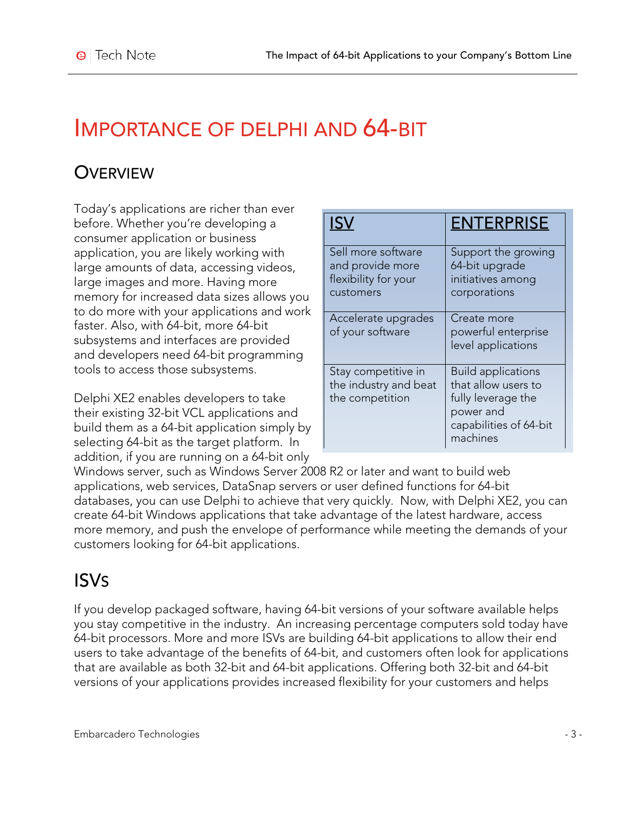### IMPORTANCE OF DELPHI AND 64-BIT

### **OVERVIEW**

Today's applications are richer than ever before. Whether you're developing a consumer application or business application, you are likely working with large amounts of data, accessing videos, large images and more. Having more memory for increased data sizes allows you to do more with your applications and work faster. Also, with 64-bit, more 64-bit subsystems and interfaces are provided and developers need 64-bit programming tools to access those subsystems.

Delphi XE2 enables developers to take their existing 32-bit VCL applications and build them as a 64-bit application simply by selecting 64-bit as the target platform. In addition, if you are running on a 64-bit only

|                                                                             | <b>ENTERPRISE</b>                                                                                                         |
|-----------------------------------------------------------------------------|---------------------------------------------------------------------------------------------------------------------------|
| Sell more software<br>and provide more<br>flexibility for your<br>customers | Support the growing<br>64-bit upgrade<br>initiatives among<br>corporations                                                |
| Accelerate upgrades<br>of your software                                     | Create more<br>powerful enterprise<br>level applications                                                                  |
| Stay competitive in<br>the industry and beat<br>the competition             | <b>Build applications</b><br>that allow users to<br>fully leverage the<br>power and<br>capabilities of 64-bit<br>machines |

Windows server, such as Windows Server 2008 R2 or later and want to build web applications, web services, DataSnap servers or user defined functions for 64-bit databases, you can use Delphi to achieve that very quickly. Now, with Delphi XE2, you can create 64-bit Windows applications that take advantage of the latest hardware, access more memory, and push the envelope of performance while meeting the demands of your customers looking for 64-bit applications.

### ISVS

If you develop packaged software, having 64-bit versions of your software available helps you stay competitive in the industry. An increasing percentage computers sold today have 64-bit processors. More and more ISVs are building 64-bit applications to allow their end users to take advantage of the benefits of 64-bit, and customers often look for applications that are available as both 32-bit and 64-bit applications. Offering both 32-bit and 64-bit versions of your applications provides increased flexibility for your customers and helps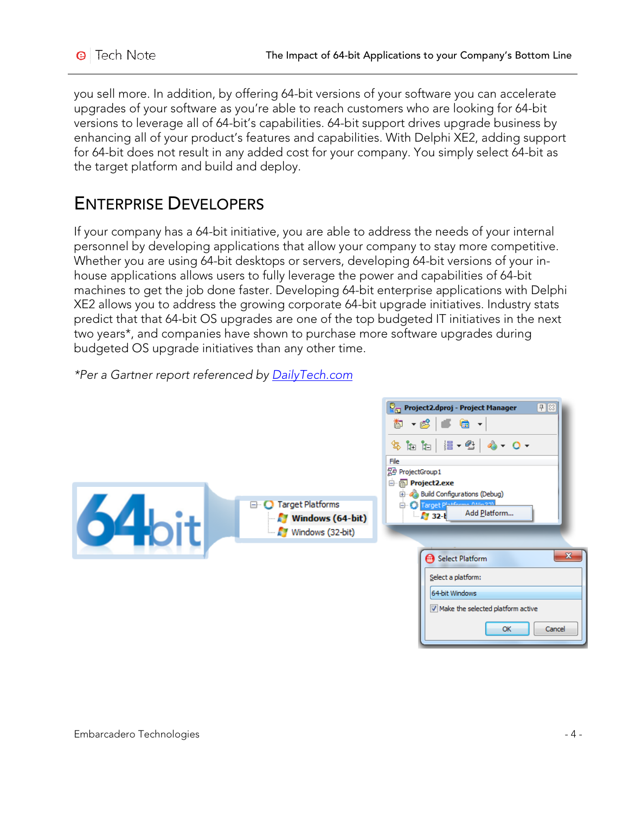you sell more. In addition, by offering 64-bit versions of your software you can accelerate upgrades of your software as you're able to reach customers who are looking for 64-bit versions to leverage all of 64-bit's capabilities. 64-bit support drives upgrade business by enhancing all of your product's features and capabilities. With Delphi XE2, adding support for 64-bit does not result in any added cost for your company. You simply select 64-bit as the target platform and build and deploy.

### ENTERPRISE DEVELOPERS

If your company has a 64-bit initiative, you are able to address the needs of your internal personnel by developing applications that allow your company to stay more competitive. Whether you are using 64-bit desktops or servers, developing 64-bit versions of your inhouse applications allows users to fully leverage the power and capabilities of 64-bit machines to get the job done faster. Developing 64-bit enterprise applications with Delphi XE2 allows you to address the growing corporate 64-bit upgrade initiatives. Industry stats predict that that 64-bit OS upgrades are one of the top budgeted IT initiatives in the next two years\*, and companies have shown to purchase more software upgrades during budgeted OS upgrade initiatives than any other time.



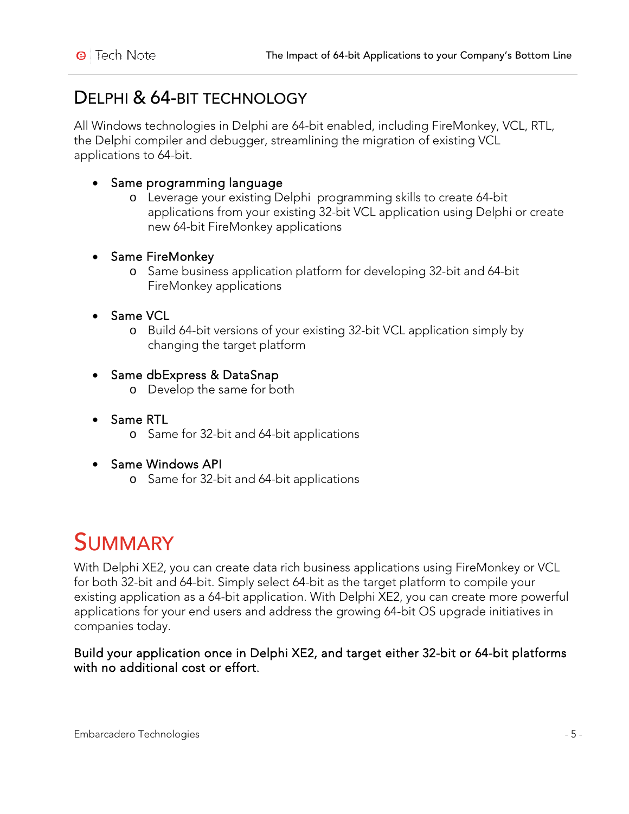### DELPHI & 64-BIT TECHNOLOGY

All Windows technologies in Delphi are 64-bit enabled, including FireMonkey, VCL, RTL, the Delphi compiler and debugger, streamlining the migration of existing VCL applications to 64-bit.

#### • Same programming language

o Leverage your existing Delphi programming skills to create 64-bit applications from your existing 32-bit VCL application using Delphi or create new 64-bit FireMonkey applications

#### • Same FireMonkey

o Same business application platform for developing 32-bit and 64-bit FireMonkey applications

#### • Same VCL

o Build 64-bit versions of your existing 32-bit VCL application simply by changing the target platform

#### • Same dbExpress & DataSnap

- o Develop the same for both
- Same RTL
	- o Same for 32-bit and 64-bit applications
- Same Windows API
	- o Same for 32-bit and 64-bit applications

## **SUMMARY**

With Delphi XE2, you can create data rich business applications using FireMonkey or VCL for both 32-bit and 64-bit. Simply select 64-bit as the target platform to compile your existing application as a 64-bit application. With Delphi XE2, you can create more powerful applications for your end users and address the growing 64-bit OS upgrade initiatives in companies today.

#### Build your application once in Delphi XE2, and target either 32-bit or 64-bit platforms with no additional cost or effort.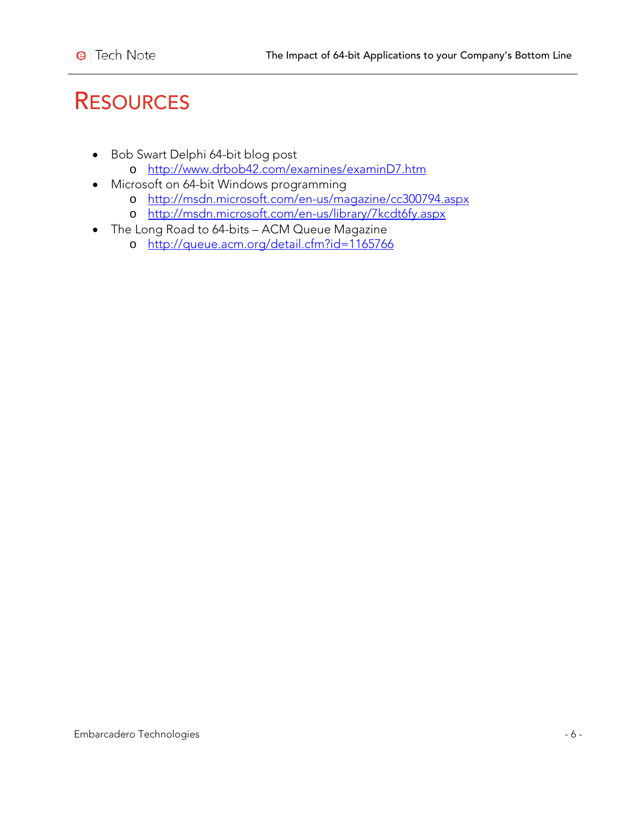## **RESOURCES**

- Bob Swart Delphi 64-bit blog post
	- o <http://www.drbob42.com/examines/examinD7.htm>
- Microsoft on 64-bit Windows programming
	- o <http://msdn.microsoft.com/en-us/magazine/cc300794.aspx>
	- o <http://msdn.microsoft.com/en-us/library/7kcdt6fy.aspx>
- The Long Road to 64-bits ACM Queue Magazine
	- o <http://queue.acm.org/detail.cfm?id=1165766>